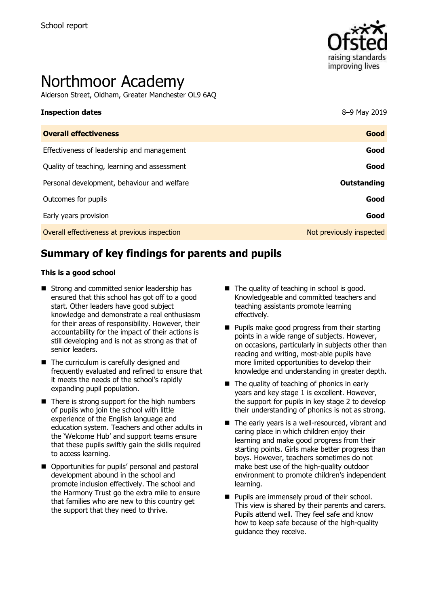

# Northmoor Academy

Alderson Street, Oldham, Greater Manchester OL9 6AQ

# **Inspection dates** 8–9 May 2019 **Overall effectiveness Good** Effectiveness of leadership and management **Good** Quality of teaching, learning and assessment **Good** Personal development, behaviour and welfare **COUTS COUTS And Account to Account Countries Outstanding** Outcomes for pupils **Good**

Early years provision **Good**

Overall effectiveness at previous inspection Not previously inspected

# **Summary of key findings for parents and pupils**

#### **This is a good school**

- Strong and committed senior leadership has ensured that this school has got off to a good start. Other leaders have good subject knowledge and demonstrate a real enthusiasm for their areas of responsibility. However, their accountability for the impact of their actions is still developing and is not as strong as that of senior leaders.
- The curriculum is carefully designed and frequently evaluated and refined to ensure that it meets the needs of the school's rapidly expanding pupil population.
- $\blacksquare$  There is strong support for the high numbers of pupils who join the school with little experience of the English language and education system. Teachers and other adults in the 'Welcome Hub' and support teams ensure that these pupils swiftly gain the skills required to access learning.
- Opportunities for pupils' personal and pastoral development abound in the school and promote inclusion effectively. The school and the Harmony Trust go the extra mile to ensure that families who are new to this country get the support that they need to thrive.
- $\blacksquare$  The quality of teaching in school is good. Knowledgeable and committed teachers and teaching assistants promote learning effectively.
- $\blacksquare$  Pupils make good progress from their starting points in a wide range of subjects. However, on occasions, particularly in subjects other than reading and writing, most-able pupils have more limited opportunities to develop their knowledge and understanding in greater depth.
- $\blacksquare$  The quality of teaching of phonics in early years and key stage 1 is excellent. However, the support for pupils in key stage 2 to develop their understanding of phonics is not as strong.
- The early years is a well-resourced, vibrant and caring place in which children enjoy their learning and make good progress from their starting points. Girls make better progress than boys. However, teachers sometimes do not make best use of the high-quality outdoor environment to promote children's independent learning.
- **Pupils are immensely proud of their school.** This view is shared by their parents and carers. Pupils attend well. They feel safe and know how to keep safe because of the high-quality guidance they receive.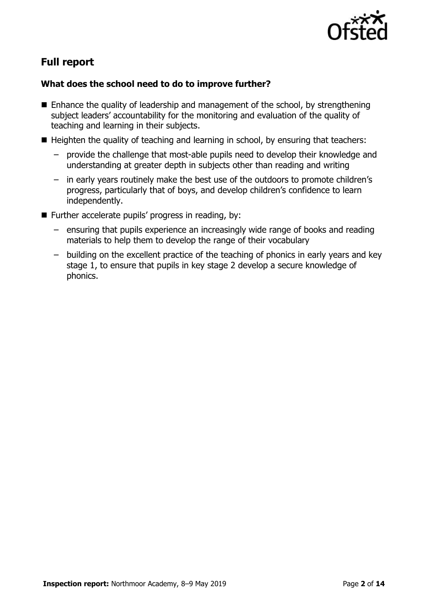

# **Full report**

### **What does the school need to do to improve further?**

- $\blacksquare$  Enhance the quality of leadership and management of the school, by strengthening subject leaders' accountability for the monitoring and evaluation of the quality of teaching and learning in their subjects.
- $\blacksquare$  Heighten the quality of teaching and learning in school, by ensuring that teachers:
	- provide the challenge that most-able pupils need to develop their knowledge and understanding at greater depth in subjects other than reading and writing
	- in early years routinely make the best use of the outdoors to promote children's progress, particularly that of boys, and develop children's confidence to learn independently.
- Further accelerate pupils' progress in reading, by:
	- ensuring that pupils experience an increasingly wide range of books and reading materials to help them to develop the range of their vocabulary
	- building on the excellent practice of the teaching of phonics in early years and key stage 1, to ensure that pupils in key stage 2 develop a secure knowledge of phonics.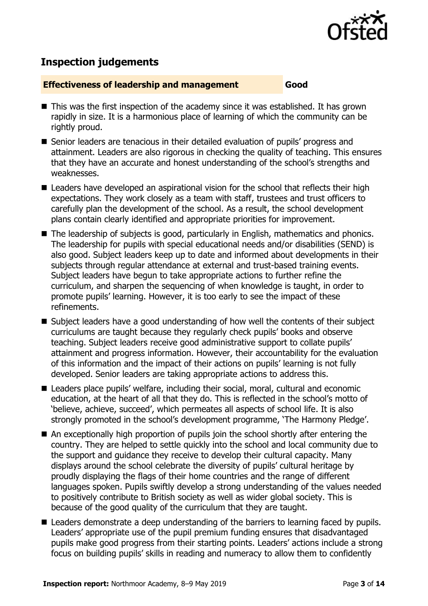

## **Inspection judgements**

#### **Effectiveness of leadership and management Good**

- $\blacksquare$  This was the first inspection of the academy since it was established. It has grown rapidly in size. It is a harmonious place of learning of which the community can be rightly proud.
- Senior leaders are tenacious in their detailed evaluation of pupils' progress and attainment. Leaders are also rigorous in checking the quality of teaching. This ensures that they have an accurate and honest understanding of the school's strengths and weaknesses.
- Leaders have developed an aspirational vision for the school that reflects their high expectations. They work closely as a team with staff, trustees and trust officers to carefully plan the development of the school. As a result, the school development plans contain clearly identified and appropriate priorities for improvement.
- The leadership of subjects is good, particularly in English, mathematics and phonics. The leadership for pupils with special educational needs and/or disabilities (SEND) is also good. Subject leaders keep up to date and informed about developments in their subjects through regular attendance at external and trust-based training events. Subject leaders have begun to take appropriate actions to further refine the curriculum, and sharpen the sequencing of when knowledge is taught, in order to promote pupils' learning. However, it is too early to see the impact of these refinements.
- $\blacksquare$  Subject leaders have a good understanding of how well the contents of their subject curriculums are taught because they regularly check pupils' books and observe teaching. Subject leaders receive good administrative support to collate pupils' attainment and progress information. However, their accountability for the evaluation of this information and the impact of their actions on pupils' learning is not fully developed. Senior leaders are taking appropriate actions to address this.
- Leaders place pupils' welfare, including their social, moral, cultural and economic education, at the heart of all that they do. This is reflected in the school's motto of 'believe, achieve, succeed', which permeates all aspects of school life. It is also strongly promoted in the school's development programme, 'The Harmony Pledge'.
- An exceptionally high proportion of pupils join the school shortly after entering the country. They are helped to settle quickly into the school and local community due to the support and guidance they receive to develop their cultural capacity. Many displays around the school celebrate the diversity of pupils' cultural heritage by proudly displaying the flags of their home countries and the range of different languages spoken. Pupils swiftly develop a strong understanding of the values needed to positively contribute to British society as well as wider global society. This is because of the good quality of the curriculum that they are taught.
- Leaders demonstrate a deep understanding of the barriers to learning faced by pupils. Leaders' appropriate use of the pupil premium funding ensures that disadvantaged pupils make good progress from their starting points. Leaders' actions include a strong focus on building pupils' skills in reading and numeracy to allow them to confidently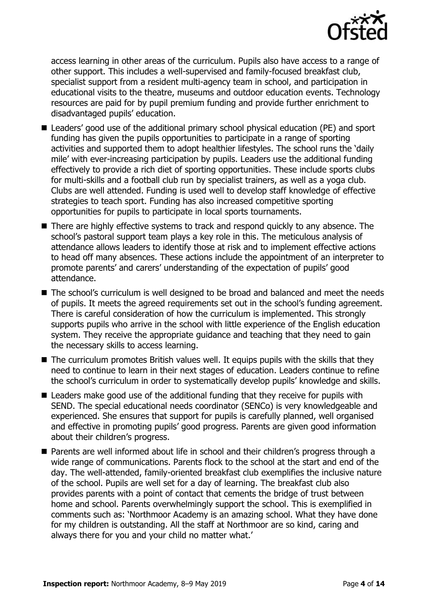

access learning in other areas of the curriculum. Pupils also have access to a range of other support. This includes a well-supervised and family-focused breakfast club, specialist support from a resident multi-agency team in school, and participation in educational visits to the theatre, museums and outdoor education events. Technology resources are paid for by pupil premium funding and provide further enrichment to disadvantaged pupils' education.

- Leaders' good use of the additional primary school physical education (PE) and sport funding has given the pupils opportunities to participate in a range of sporting activities and supported them to adopt healthier lifestyles. The school runs the 'daily mile' with ever-increasing participation by pupils. Leaders use the additional funding effectively to provide a rich diet of sporting opportunities. These include sports clubs for multi-skills and a football club run by specialist trainers, as well as a yoga club. Clubs are well attended. Funding is used well to develop staff knowledge of effective strategies to teach sport. Funding has also increased competitive sporting opportunities for pupils to participate in local sports tournaments.
- There are highly effective systems to track and respond quickly to any absence. The school's pastoral support team plays a key role in this. The meticulous analysis of attendance allows leaders to identify those at risk and to implement effective actions to head off many absences. These actions include the appointment of an interpreter to promote parents' and carers' understanding of the expectation of pupils' good attendance.
- The school's curriculum is well designed to be broad and balanced and meet the needs of pupils. It meets the agreed requirements set out in the school's funding agreement. There is careful consideration of how the curriculum is implemented. This strongly supports pupils who arrive in the school with little experience of the English education system. They receive the appropriate guidance and teaching that they need to gain the necessary skills to access learning.
- The curriculum promotes British values well. It equips pupils with the skills that they need to continue to learn in their next stages of education. Leaders continue to refine the school's curriculum in order to systematically develop pupils' knowledge and skills.
- Leaders make good use of the additional funding that they receive for pupils with SEND. The special educational needs coordinator (SENCo) is very knowledgeable and experienced. She ensures that support for pupils is carefully planned, well organised and effective in promoting pupils' good progress. Parents are given good information about their children's progress.
- Parents are well informed about life in school and their children's progress through a wide range of communications. Parents flock to the school at the start and end of the day. The well-attended, family-oriented breakfast club exemplifies the inclusive nature of the school. Pupils are well set for a day of learning. The breakfast club also provides parents with a point of contact that cements the bridge of trust between home and school. Parents overwhelmingly support the school. This is exemplified in comments such as: 'Northmoor Academy is an amazing school. What they have done for my children is outstanding. All the staff at Northmoor are so kind, caring and always there for you and your child no matter what.'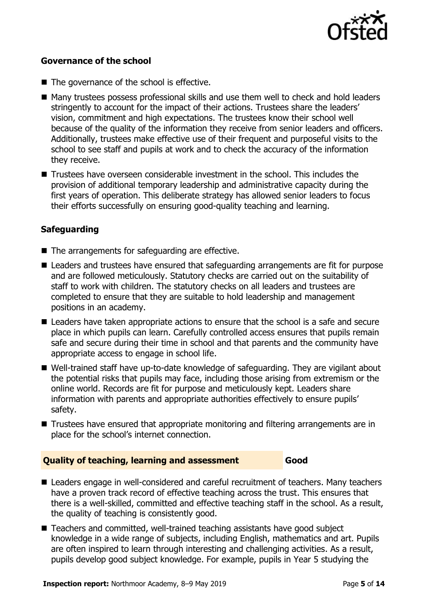

#### **Governance of the school**

- The governance of the school is effective.
- Many trustees possess professional skills and use them well to check and hold leaders stringently to account for the impact of their actions. Trustees share the leaders' vision, commitment and high expectations. The trustees know their school well because of the quality of the information they receive from senior leaders and officers. Additionally, trustees make effective use of their frequent and purposeful visits to the school to see staff and pupils at work and to check the accuracy of the information they receive.
- Trustees have overseen considerable investment in the school. This includes the provision of additional temporary leadership and administrative capacity during the first years of operation. This deliberate strategy has allowed senior leaders to focus their efforts successfully on ensuring good-quality teaching and learning.

#### **Safeguarding**

- The arrangements for safeguarding are effective.
- Leaders and trustees have ensured that safeguarding arrangements are fit for purpose and are followed meticulously. Statutory checks are carried out on the suitability of staff to work with children. The statutory checks on all leaders and trustees are completed to ensure that they are suitable to hold leadership and management positions in an academy.
- Leaders have taken appropriate actions to ensure that the school is a safe and secure place in which pupils can learn. Carefully controlled access ensures that pupils remain safe and secure during their time in school and that parents and the community have appropriate access to engage in school life.
- Well-trained staff have up-to-date knowledge of safeguarding. They are vigilant about the potential risks that pupils may face, including those arising from extremism or the online world. Records are fit for purpose and meticulously kept. Leaders share information with parents and appropriate authorities effectively to ensure pupils' safety.
- Trustees have ensured that appropriate monitoring and filtering arrangements are in place for the school's internet connection.

#### **Quality of teaching, learning and assessment Good**

- Leaders engage in well-considered and careful recruitment of teachers. Many teachers have a proven track record of effective teaching across the trust. This ensures that there is a well-skilled, committed and effective teaching staff in the school. As a result, the quality of teaching is consistently good.
- Teachers and committed, well-trained teaching assistants have good subject knowledge in a wide range of subjects, including English, mathematics and art. Pupils are often inspired to learn through interesting and challenging activities. As a result, pupils develop good subject knowledge. For example, pupils in Year 5 studying the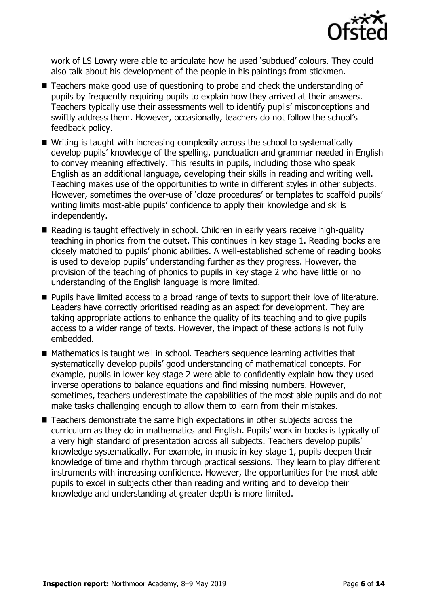

work of LS Lowry were able to articulate how he used 'subdued' colours. They could also talk about his development of the people in his paintings from stickmen.

- Teachers make good use of questioning to probe and check the understanding of pupils by frequently requiring pupils to explain how they arrived at their answers. Teachers typically use their assessments well to identify pupils' misconceptions and swiftly address them. However, occasionally, teachers do not follow the school's feedback policy.
- Writing is taught with increasing complexity across the school to systematically develop pupils' knowledge of the spelling, punctuation and grammar needed in English to convey meaning effectively. This results in pupils, including those who speak English as an additional language, developing their skills in reading and writing well. Teaching makes use of the opportunities to write in different styles in other subjects. However, sometimes the over-use of 'cloze procedures' or templates to scaffold pupils' writing limits most-able pupils' confidence to apply their knowledge and skills independently.
- Reading is taught effectively in school. Children in early years receive high-quality teaching in phonics from the outset. This continues in key stage 1. Reading books are closely matched to pupils' phonic abilities. A well-established scheme of reading books is used to develop pupils' understanding further as they progress. However, the provision of the teaching of phonics to pupils in key stage 2 who have little or no understanding of the English language is more limited.
- **Pupils have limited access to a broad range of texts to support their love of literature.** Leaders have correctly prioritised reading as an aspect for development. They are taking appropriate actions to enhance the quality of its teaching and to give pupils access to a wider range of texts. However, the impact of these actions is not fully embedded.
- Mathematics is taught well in school. Teachers sequence learning activities that systematically develop pupils' good understanding of mathematical concepts. For example, pupils in lower key stage 2 were able to confidently explain how they used inverse operations to balance equations and find missing numbers. However, sometimes, teachers underestimate the capabilities of the most able pupils and do not make tasks challenging enough to allow them to learn from their mistakes.
- Teachers demonstrate the same high expectations in other subjects across the curriculum as they do in mathematics and English. Pupils' work in books is typically of a very high standard of presentation across all subjects. Teachers develop pupils' knowledge systematically. For example, in music in key stage 1, pupils deepen their knowledge of time and rhythm through practical sessions. They learn to play different instruments with increasing confidence. However, the opportunities for the most able pupils to excel in subjects other than reading and writing and to develop their knowledge and understanding at greater depth is more limited.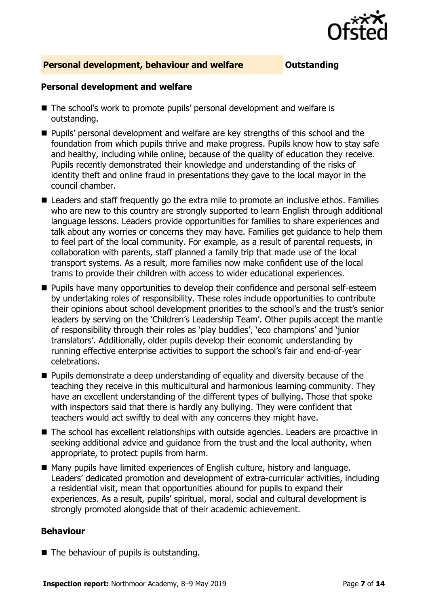

#### **Personal development, behaviour and welfare <b>COUTS** Outstanding

#### **Personal development and welfare**

- The school's work to promote pupils' personal development and welfare is outstanding.
- **Pupils'** personal development and welfare are key strengths of this school and the foundation from which pupils thrive and make progress. Pupils know how to stay safe and healthy, including while online, because of the quality of education they receive. Pupils recently demonstrated their knowledge and understanding of the risks of identity theft and online fraud in presentations they gave to the local mayor in the council chamber.
- Leaders and staff frequently go the extra mile to promote an inclusive ethos. Families who are new to this country are strongly supported to learn English through additional language lessons. Leaders provide opportunities for families to share experiences and talk about any worries or concerns they may have. Families get guidance to help them to feel part of the local community. For example, as a result of parental requests, in collaboration with parents, staff planned a family trip that made use of the local transport systems. As a result, more families now make confident use of the local trams to provide their children with access to wider educational experiences.
- **Pupils have many opportunities to develop their confidence and personal self-esteem** by undertaking roles of responsibility. These roles include opportunities to contribute their opinions about school development priorities to the school's and the trust's senior leaders by serving on the 'Children's Leadership Team'. Other pupils accept the mantle of responsibility through their roles as 'play buddies', 'eco champions' and 'junior translators'. Additionally, older pupils develop their economic understanding by running effective enterprise activities to support the school's fair and end-of-year celebrations.
- **Pupils demonstrate a deep understanding of equality and diversity because of the** teaching they receive in this multicultural and harmonious learning community. They have an excellent understanding of the different types of bullying. Those that spoke with inspectors said that there is hardly any bullying. They were confident that teachers would act swiftly to deal with any concerns they might have.
- The school has excellent relationships with outside agencies. Leaders are proactive in seeking additional advice and guidance from the trust and the local authority, when appropriate, to protect pupils from harm.
- Many pupils have limited experiences of English culture, history and language. Leaders' dedicated promotion and development of extra-curricular activities, including a residential visit, mean that opportunities abound for pupils to expand their experiences. As a result, pupils' spiritual, moral, social and cultural development is strongly promoted alongside that of their academic achievement.

#### **Behaviour**

■ The behaviour of pupils is outstanding.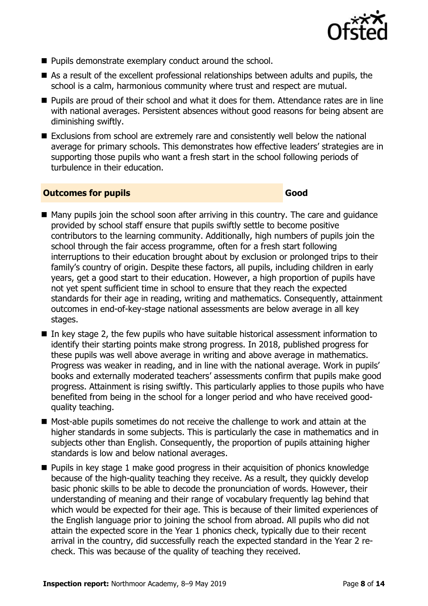

- Pupils demonstrate exemplary conduct around the school.
- As a result of the excellent professional relationships between adults and pupils, the school is a calm, harmonious community where trust and respect are mutual.
- **Pupils are proud of their school and what it does for them. Attendance rates are in line** with national averages. Persistent absences without good reasons for being absent are diminishing swiftly.
- Exclusions from school are extremely rare and consistently well below the national average for primary schools. This demonstrates how effective leaders' strategies are in supporting those pupils who want a fresh start in the school following periods of turbulence in their education.

#### **Outcomes for pupils Good**

- Many pupils join the school soon after arriving in this country. The care and quidance provided by school staff ensure that pupils swiftly settle to become positive contributors to the learning community. Additionally, high numbers of pupils join the school through the fair access programme, often for a fresh start following interruptions to their education brought about by exclusion or prolonged trips to their family's country of origin. Despite these factors, all pupils, including children in early years, get a good start to their education. However, a high proportion of pupils have not yet spent sufficient time in school to ensure that they reach the expected standards for their age in reading, writing and mathematics. Consequently, attainment outcomes in end-of-key-stage national assessments are below average in all key stages.
- In key stage 2, the few pupils who have suitable historical assessment information to identify their starting points make strong progress. In 2018, published progress for these pupils was well above average in writing and above average in mathematics. Progress was weaker in reading, and in line with the national average. Work in pupils' books and externally moderated teachers' assessments confirm that pupils make good progress. Attainment is rising swiftly. This particularly applies to those pupils who have benefited from being in the school for a longer period and who have received goodquality teaching.
- Most-able pupils sometimes do not receive the challenge to work and attain at the higher standards in some subjects. This is particularly the case in mathematics and in subjects other than English. Consequently, the proportion of pupils attaining higher standards is low and below national averages.
- **Pupils in key stage 1 make good progress in their acquisition of phonics knowledge** because of the high-quality teaching they receive. As a result, they quickly develop basic phonic skills to be able to decode the pronunciation of words. However, their understanding of meaning and their range of vocabulary frequently lag behind that which would be expected for their age. This is because of their limited experiences of the English language prior to joining the school from abroad. All pupils who did not attain the expected score in the Year 1 phonics check, typically due to their recent arrival in the country, did successfully reach the expected standard in the Year 2 recheck. This was because of the quality of teaching they received.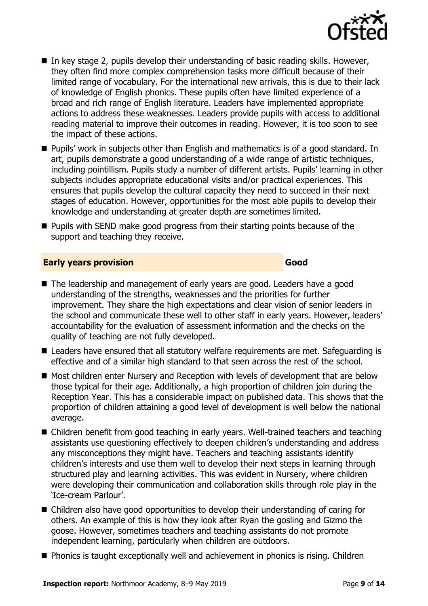

- In key stage 2, pupils develop their understanding of basic reading skills. However, they often find more complex comprehension tasks more difficult because of their limited range of vocabulary. For the international new arrivals, this is due to their lack of knowledge of English phonics. These pupils often have limited experience of a broad and rich range of English literature. Leaders have implemented appropriate actions to address these weaknesses. Leaders provide pupils with access to additional reading material to improve their outcomes in reading. However, it is too soon to see the impact of these actions.
- Pupils' work in subjects other than English and mathematics is of a good standard. In art, pupils demonstrate a good understanding of a wide range of artistic techniques, including pointillism. Pupils study a number of different artists. Pupils' learning in other subjects includes appropriate educational visits and/or practical experiences. This ensures that pupils develop the cultural capacity they need to succeed in their next stages of education. However, opportunities for the most able pupils to develop their knowledge and understanding at greater depth are sometimes limited.
- **Pupils with SEND make good progress from their starting points because of the** support and teaching they receive.

#### **Early years provision Good Good**

- The leadership and management of early years are good. Leaders have a good understanding of the strengths, weaknesses and the priorities for further improvement. They share the high expectations and clear vision of senior leaders in the school and communicate these well to other staff in early years. However, leaders' accountability for the evaluation of assessment information and the checks on the quality of teaching are not fully developed.
- Leaders have ensured that all statutory welfare requirements are met. Safeguarding is effective and of a similar high standard to that seen across the rest of the school.
- Most children enter Nursery and Reception with levels of development that are below those typical for their age. Additionally, a high proportion of children join during the Reception Year. This has a considerable impact on published data. This shows that the proportion of children attaining a good level of development is well below the national average.
- Children benefit from good teaching in early years. Well-trained teachers and teaching assistants use questioning effectively to deepen children's understanding and address any misconceptions they might have. Teachers and teaching assistants identify children's interests and use them well to develop their next steps in learning through structured play and learning activities. This was evident in Nursery, where children were developing their communication and collaboration skills through role play in the 'Ice-cream Parlour'.
- Children also have good opportunities to develop their understanding of caring for others. An example of this is how they look after Ryan the gosling and Gizmo the goose. However, sometimes teachers and teaching assistants do not promote independent learning, particularly when children are outdoors.
- Phonics is taught exceptionally well and achievement in phonics is rising. Children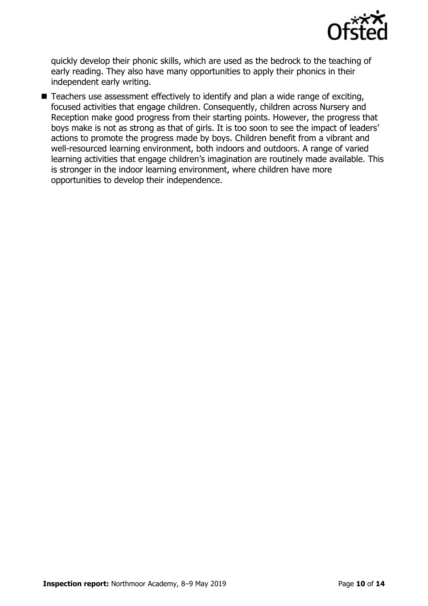

quickly develop their phonic skills, which are used as the bedrock to the teaching of early reading. They also have many opportunities to apply their phonics in their independent early writing.

■ Teachers use assessment effectively to identify and plan a wide range of exciting, focused activities that engage children. Consequently, children across Nursery and Reception make good progress from their starting points. However, the progress that boys make is not as strong as that of girls. It is too soon to see the impact of leaders' actions to promote the progress made by boys. Children benefit from a vibrant and well-resourced learning environment, both indoors and outdoors. A range of varied learning activities that engage children's imagination are routinely made available. This is stronger in the indoor learning environment, where children have more opportunities to develop their independence.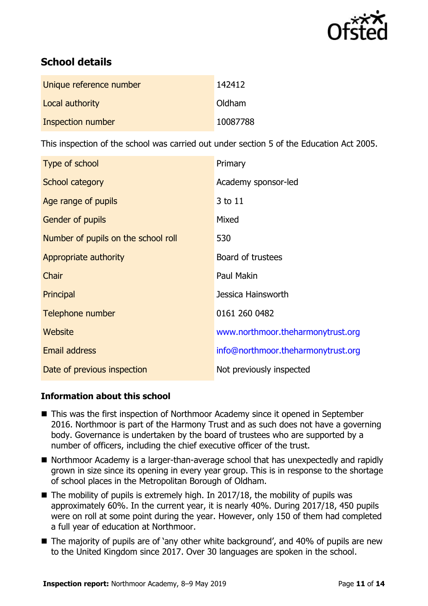

# **School details**

| Unique reference number | 142412   |
|-------------------------|----------|
| Local authority         | Oldham   |
| Inspection number       | 10087788 |

This inspection of the school was carried out under section 5 of the Education Act 2005.

| Type of school                      | Primary                            |
|-------------------------------------|------------------------------------|
| School category                     | Academy sponsor-led                |
| Age range of pupils                 | 3 to 11                            |
| <b>Gender of pupils</b>             | Mixed                              |
| Number of pupils on the school roll | 530                                |
| Appropriate authority               | Board of trustees                  |
| Chair                               | Paul Makin                         |
| Principal                           | Jessica Hainsworth                 |
| Telephone number                    | 0161 260 0482                      |
| Website                             | www.northmoor.theharmonytrust.org  |
| <b>Email address</b>                | info@northmoor.theharmonytrust.org |
| Date of previous inspection         | Not previously inspected           |

#### **Information about this school**

- This was the first inspection of Northmoor Academy since it opened in September 2016. Northmoor is part of the Harmony Trust and as such does not have a governing body. Governance is undertaken by the board of trustees who are supported by a number of officers, including the chief executive officer of the trust.
- Northmoor Academy is a larger-than-average school that has unexpectedly and rapidly grown in size since its opening in every year group. This is in response to the shortage of school places in the Metropolitan Borough of Oldham.
- $\blacksquare$  The mobility of pupils is extremely high. In 2017/18, the mobility of pupils was approximately 60%. In the current year, it is nearly 40%. During 2017/18, 450 pupils were on roll at some point during the year. However, only 150 of them had completed a full year of education at Northmoor.
- The majority of pupils are of 'any other white background', and 40% of pupils are new to the United Kingdom since 2017. Over 30 languages are spoken in the school.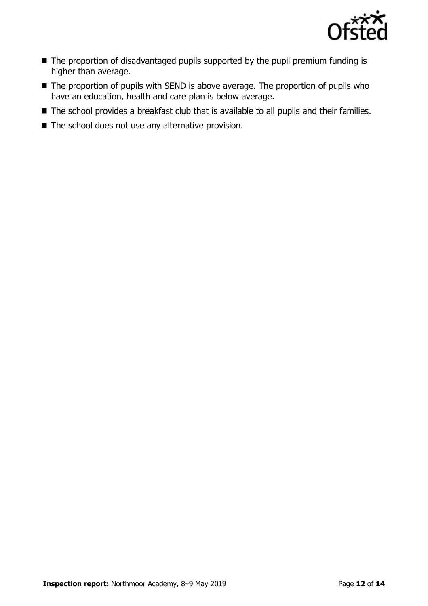

- The proportion of disadvantaged pupils supported by the pupil premium funding is higher than average.
- The proportion of pupils with SEND is above average. The proportion of pupils who have an education, health and care plan is below average.
- The school provides a breakfast club that is available to all pupils and their families.
- $\blacksquare$  The school does not use any alternative provision.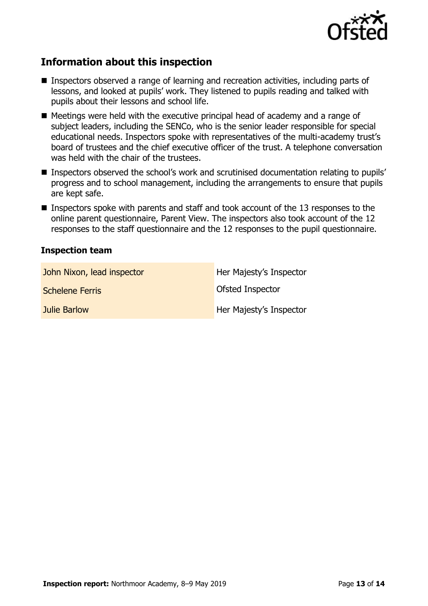

## **Information about this inspection**

- Inspectors observed a range of learning and recreation activities, including parts of lessons, and looked at pupils' work. They listened to pupils reading and talked with pupils about their lessons and school life.
- Meetings were held with the executive principal head of academy and a range of subject leaders, including the SENCo, who is the senior leader responsible for special educational needs. Inspectors spoke with representatives of the multi-academy trust's board of trustees and the chief executive officer of the trust. A telephone conversation was held with the chair of the trustees.
- **Inspectors observed the school's work and scrutinised documentation relating to pupils'** progress and to school management, including the arrangements to ensure that pupils are kept safe.
- **Inspectors spoke with parents and staff and took account of the 13 responses to the** online parent questionnaire, Parent View. The inspectors also took account of the 12 responses to the staff questionnaire and the 12 responses to the pupil questionnaire.

#### **Inspection team**

| John Nixon, lead inspector | Her Majesty's Inspector |
|----------------------------|-------------------------|
| <b>Schelene Ferris</b>     | Ofsted Inspector        |
| Julie Barlow               | Her Majesty's Inspector |